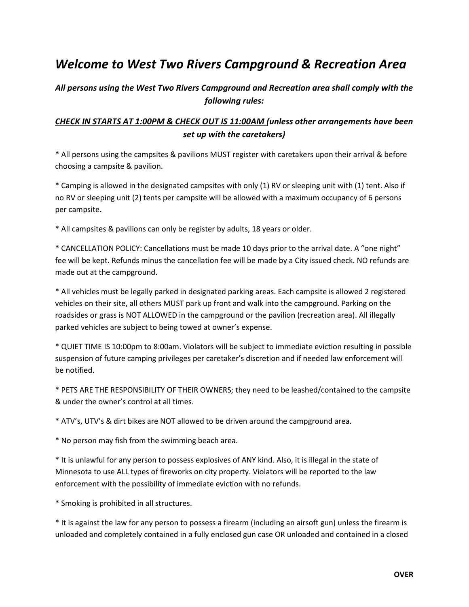## Welcome to West Two Rivers Campground & Recreation Area

## All persons using the West Two Rivers Campground and Recreation area shall comply with the following rules:

## CHECK IN STARTS AT 1:00PM & CHECK OUT IS 11:00AM (unless other arrangements have been set up with the caretakers)

\* All persons using the campsites & pavilions MUST register with caretakers upon their arrival & before choosing a campsite & pavilion.

\* Camping is allowed in the designated campsites with only (1) RV or sleeping unit with (1) tent. Also if no RV or sleeping unit (2) tents per campsite will be allowed with a maximum occupancy of 6 persons per campsite.

\* All campsites & pavilions can only be register by adults, 18 years or older.

\* CANCELLATION POLICY: Cancellations must be made 10 days prior to the arrival date. A "one night" fee will be kept. Refunds minus the cancellation fee will be made by a City issued check. NO refunds are made out at the campground.

\* All vehicles must be legally parked in designated parking areas. Each campsite is allowed 2 registered vehicles on their site, all others MUST park up front and walk into the campground. Parking on the roadsides or grass is NOT ALLOWED in the campground or the pavilion (recreation area). All illegally parked vehicles are subject to being towed at owner's expense.

\* QUIET TIME IS 10:00pm to 8:00am. Violators will be subject to immediate eviction resulting in possible suspension of future camping privileges per caretaker's discretion and if needed law enforcement will be notified.

\* PETS ARE THE RESPONSIBILITY OF THEIR OWNERS; they need to be leashed/contained to the campsite & under the owner's control at all times.

\* ATV's, UTV's & dirt bikes are NOT allowed to be driven around the campground area.

\* No person may fish from the swimming beach area.

\* It is unlawful for any person to possess explosives of ANY kind. Also, it is illegal in the state of Minnesota to use ALL types of fireworks on city property. Violators will be reported to the law enforcement with the possibility of immediate eviction with no refunds.

\* Smoking is prohibited in all structures.

\* It is against the law for any person to possess a firearm (including an airsoft gun) unless the firearm is unloaded and completely contained in a fully enclosed gun case OR unloaded and contained in a closed